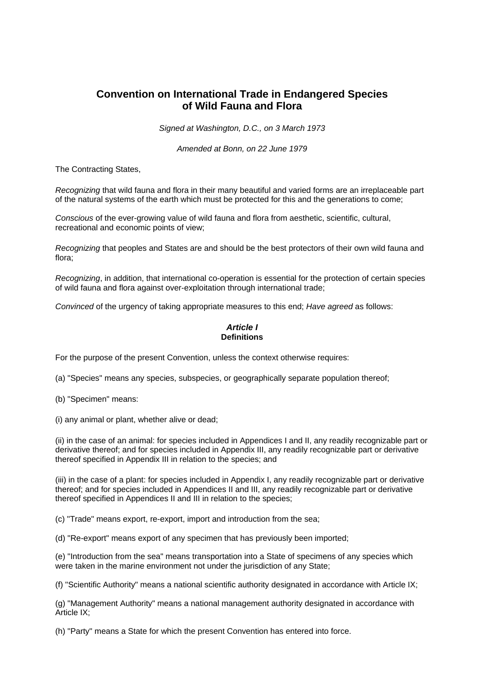# **Convention on International Trade in Endangered Species of Wild Fauna and Flora**

*Signed at Washington, D.C., on 3 March 1973*

*Amended at Bonn, on 22 June 1979* 

The Contracting States,

*Recognizing* that wild fauna and flora in their many beautiful and varied forms are an irreplaceable part of the natural systems of the earth which must be protected for this and the generations to come;

*Conscious* of the ever-growing value of wild fauna and flora from aesthetic, scientific, cultural, recreational and economic points of view;

*Recognizing* that peoples and States are and should be the best protectors of their own wild fauna and flora;

*Recognizing*, in addition, that international co-operation is essential for the protection of certain species of wild fauna and flora against over-exploitation through international trade;

*Convinced* of the urgency of taking appropriate measures to this end; *Have agreed* as follows:

## *Article I* **Definitions**

For the purpose of the present Convention, unless the context otherwise requires:

(a) "Species" means any species, subspecies, or geographically separate population thereof;

(b) "Specimen" means:

(i) any animal or plant, whether alive or dead;

(ii) in the case of an animal: for species included in Appendices I and II, any readily recognizable part or derivative thereof; and for species included in Appendix III, any readily recognizable part or derivative thereof specified in Appendix III in relation to the species; and

(iii) in the case of a plant: for species included in Appendix I, any readily recognizable part or derivative thereof; and for species included in Appendices II and III, any readily recognizable part or derivative thereof specified in Appendices II and III in relation to the species;

(c) "Trade" means export, re-export, import and introduction from the sea;

(d) "Re-export" means export of any specimen that has previously been imported;

(e) "Introduction from the sea" means transportation into a State of specimens of any species which were taken in the marine environment not under the jurisdiction of any State;

(f) "Scientific Authority" means a national scientific authority designated in accordance with Article IX;

(g) "Management Authority" means a national management authority designated in accordance with Article IX;

(h) "Party" means a State for which the present Convention has entered into force.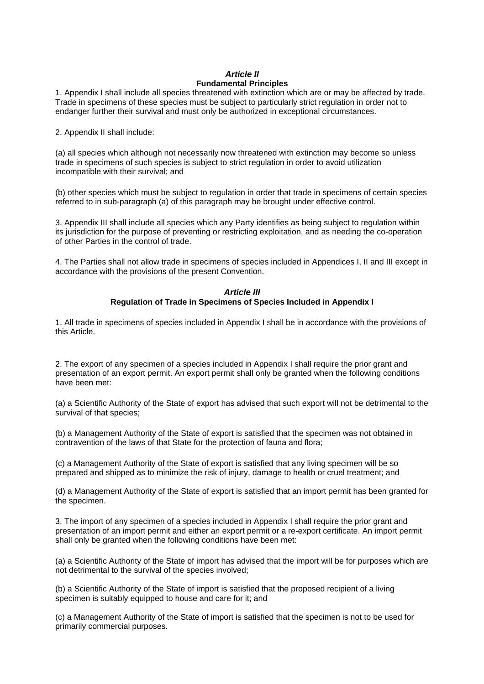## *Article II* **Fundamental Principles**

1. Appendix I shall include all species threatened with extinction which are or may be affected by trade. Trade in specimens of these species must be subject to particularly strict regulation in order not to endanger further their survival and must only be authorized in exceptional circumstances.

2. Appendix II shall include:

(a) all species which although not necessarily now threatened with extinction may become so unless trade in specimens of such species is subject to strict regulation in order to avoid utilization incompatible with their survival; and

(b) other species which must be subject to regulation in order that trade in specimens of certain species referred to in sub-paragraph (a) of this paragraph may be brought under effective control.

3. Appendix III shall include all species which any Party identifies as being subject to regulation within its jurisdiction for the purpose of preventing or restricting exploitation, and as needing the co-operation of other Parties in the control of trade.

4. The Parties shall not allow trade in specimens of species included in Appendices I, II and III except in accordance with the provisions of the present Convention.

## *Article III* **Regulation of Trade in Specimens of Species Included in Appendix I**

1. All trade in specimens of species included in Appendix I shall be in accordance with the provisions of this Article.

2. The export of any specimen of a species included in Appendix I shall require the prior grant and presentation of an export permit. An export permit shall only be granted when the following conditions have been met:

(a) a Scientific Authority of the State of export has advised that such export will not be detrimental to the survival of that species;

(b) a Management Authority of the State of export is satisfied that the specimen was not obtained in contravention of the laws of that State for the protection of fauna and flora;

(c) a Management Authority of the State of export is satisfied that any living specimen will be so prepared and shipped as to minimize the risk of injury, damage to health or cruel treatment; and

(d) a Management Authority of the State of export is satisfied that an import permit has been granted for the specimen.

3. The import of any specimen of a species included in Appendix I shall require the prior grant and presentation of an import permit and either an export permit or a re-export certificate. An import permit shall only be granted when the following conditions have been met:

(a) a Scientific Authority of the State of import has advised that the import will be for purposes which are not detrimental to the survival of the species involved;

(b) a Scientific Authority of the State of import is satisfied that the proposed recipient of a living specimen is suitably equipped to house and care for it; and

(c) a Management Authority of the State of import is satisfied that the specimen is not to be used for primarily commercial purposes.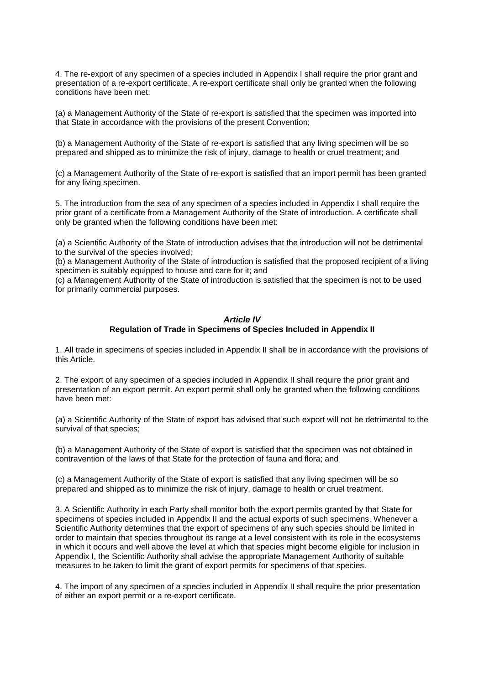4. The re-export of any specimen of a species included in Appendix I shall require the prior grant and presentation of a re-export certificate. A re-export certificate shall only be granted when the following conditions have been met:

(a) a Management Authority of the State of re-export is satisfied that the specimen was imported into that State in accordance with the provisions of the present Convention;

(b) a Management Authority of the State of re-export is satisfied that any living specimen will be so prepared and shipped as to minimize the risk of injury, damage to health or cruel treatment; and

(c) a Management Authority of the State of re-export is satisfied that an import permit has been granted for any living specimen.

5. The introduction from the sea of any specimen of a species included in Appendix I shall require the prior grant of a certificate from a Management Authority of the State of introduction. A certificate shall only be granted when the following conditions have been met:

(a) a Scientific Authority of the State of introduction advises that the introduction will not be detrimental to the survival of the species involved;

(b) a Management Authority of the State of introduction is satisfied that the proposed recipient of a living specimen is suitably equipped to house and care for it; and

(c) a Management Authority of the State of introduction is satisfied that the specimen is not to be used for primarily commercial purposes.

## *Article IV* **Regulation of Trade in Specimens of Species Included in Appendix II**

1. All trade in specimens of species included in Appendix II shall be in accordance with the provisions of this Article.

2. The export of any specimen of a species included in Appendix II shall require the prior grant and presentation of an export permit. An export permit shall only be granted when the following conditions have been met:

(a) a Scientific Authority of the State of export has advised that such export will not be detrimental to the survival of that species;

(b) a Management Authority of the State of export is satisfied that the specimen was not obtained in contravention of the laws of that State for the protection of fauna and flora; and

(c) a Management Authority of the State of export is satisfied that any living specimen will be so prepared and shipped as to minimize the risk of injury, damage to health or cruel treatment.

3. A Scientific Authority in each Party shall monitor both the export permits granted by that State for specimens of species included in Appendix II and the actual exports of such specimens. Whenever a Scientific Authority determines that the export of specimens of any such species should be limited in order to maintain that species throughout its range at a level consistent with its role in the ecosystems in which it occurs and well above the level at which that species might become eligible for inclusion in Appendix I, the Scientific Authority shall advise the appropriate Management Authority of suitable measures to be taken to limit the grant of export permits for specimens of that species.

4. The import of any specimen of a species included in Appendix II shall require the prior presentation of either an export permit or a re-export certificate.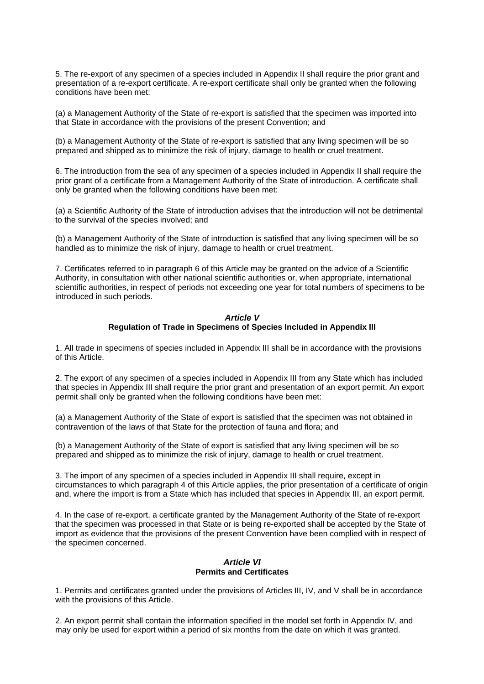5. The re-export of any specimen of a species included in Appendix II shall require the prior grant and presentation of a re-export certificate. A re-export certificate shall only be granted when the following conditions have been met:

(a) a Management Authority of the State of re-export is satisfied that the specimen was imported into that State in accordance with the provisions of the present Convention; and

(b) a Management Authority of the State of re-export is satisfied that any living specimen will be so prepared and shipped as to minimize the risk of injury, damage to health or cruel treatment.

6. The introduction from the sea of any specimen of a species included in Appendix II shall require the prior grant of a certificate from a Management Authority of the State of introduction. A certificate shall only be granted when the following conditions have been met:

(a) a Scientific Authority of the State of introduction advises that the introduction will not be detrimental to the survival of the species involved; and

(b) a Management Authority of the State of introduction is satisfied that any living specimen will be so handled as to minimize the risk of injury, damage to health or cruel treatment.

7. Certificates referred to in paragraph 6 of this Article may be granted on the advice of a Scientific Authority, in consultation with other national scientific authorities or, when appropriate, international scientific authorities, in respect of periods not exceeding one year for total numbers of specimens to be introduced in such periods.

## *Article V* **Regulation of Trade in Specimens of Species Included in Appendix III**

1. All trade in specimens of species included in Appendix III shall be in accordance with the provisions of this Article.

2. The export of any specimen of a species included in Appendix III from any State which has included that species in Appendix III shall require the prior grant and presentation of an export permit. An export permit shall only be granted when the following conditions have been met:

(a) a Management Authority of the State of export is satisfied that the specimen was not obtained in contravention of the laws of that State for the protection of fauna and flora; and

(b) a Management Authority of the State of export is satisfied that any living specimen will be so prepared and shipped as to minimize the risk of injury, damage to health or cruel treatment.

3. The import of any specimen of a species included in Appendix III shall require, except in circumstances to which paragraph 4 of this Article applies, the prior presentation of a certificate of origin and, where the import is from a State which has included that species in Appendix III, an export permit.

4. In the case of re-export, a certificate granted by the Management Authority of the State of re-export that the specimen was processed in that State or is being re-exported shall be accepted by the State of import as evidence that the provisions of the present Convention have been complied with in respect of the specimen concerned.

## *Article VI* **Permits and Certificates**

1. Permits and certificates granted under the provisions of Articles III, IV, and V shall be in accordance with the provisions of this Article.

2. An export permit shall contain the information specified in the model set forth in Appendix IV, and may only be used for export within a period of six months from the date on which it was granted.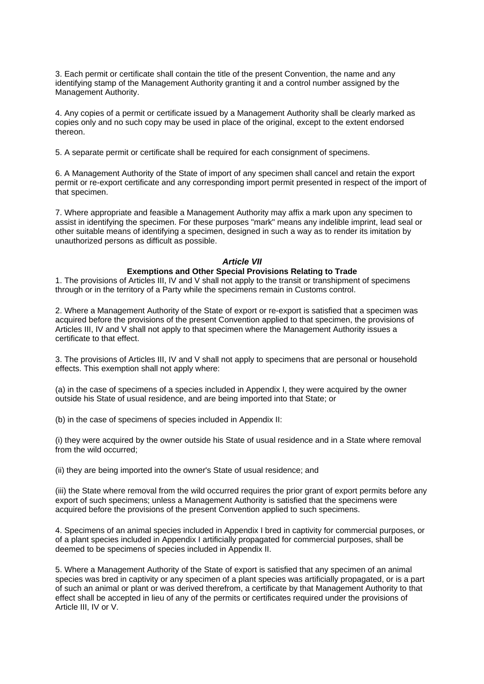3. Each permit or certificate shall contain the title of the present Convention, the name and any identifying stamp of the Management Authority granting it and a control number assigned by the Management Authority.

4. Any copies of a permit or certificate issued by a Management Authority shall be clearly marked as copies only and no such copy may be used in place of the original, except to the extent endorsed thereon.

5. A separate permit or certificate shall be required for each consignment of specimens.

6. A Management Authority of the State of import of any specimen shall cancel and retain the export permit or re-export certificate and any corresponding import permit presented in respect of the import of that specimen.

7. Where appropriate and feasible a Management Authority may affix a mark upon any specimen to assist in identifying the specimen. For these purposes "mark" means any indelible imprint, lead seal or other suitable means of identifying a specimen, designed in such a way as to render its imitation by unauthorized persons as difficult as possible.

#### *Article VII*

## **Exemptions and Other Special Provisions Relating to Trade**

1. The provisions of Articles III, IV and V shall not apply to the transit or transhipment of specimens through or in the territory of a Party while the specimens remain in Customs control.

2. Where a Management Authority of the State of export or re-export is satisfied that a specimen was acquired before the provisions of the present Convention applied to that specimen, the provisions of Articles III, IV and V shall not apply to that specimen where the Management Authority issues a certificate to that effect.

3. The provisions of Articles III, IV and V shall not apply to specimens that are personal or household effects. This exemption shall not apply where:

(a) in the case of specimens of a species included in Appendix I, they were acquired by the owner outside his State of usual residence, and are being imported into that State; or

(b) in the case of specimens of species included in Appendix II:

(i) they were acquired by the owner outside his State of usual residence and in a State where removal from the wild occurred;

(ii) they are being imported into the owner's State of usual residence; and

(iii) the State where removal from the wild occurred requires the prior grant of export permits before any export of such specimens; unless a Management Authority is satisfied that the specimens were acquired before the provisions of the present Convention applied to such specimens.

4. Specimens of an animal species included in Appendix I bred in captivity for commercial purposes, or of a plant species included in Appendix I artificially propagated for commercial purposes, shall be deemed to be specimens of species included in Appendix II.

5. Where a Management Authority of the State of export is satisfied that any specimen of an animal species was bred in captivity or any specimen of a plant species was artificially propagated, or is a part of such an animal or plant or was derived therefrom, a certificate by that Management Authority to that effect shall be accepted in lieu of any of the permits or certificates required under the provisions of Article III, IV or V.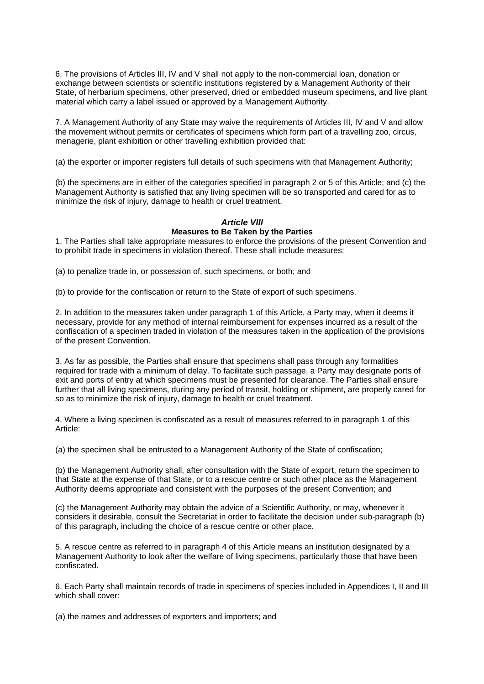6. The provisions of Articles III, IV and V shall not apply to the non-commercial loan, donation or exchange between scientists or scientific institutions registered by a Management Authority of their State, of herbarium specimens, other preserved, dried or embedded museum specimens, and live plant material which carry a label issued or approved by a Management Authority.

7. A Management Authority of any State may waive the requirements of Articles III, IV and V and allow the movement without permits or certificates of specimens which form part of a travelling zoo, circus, menagerie, plant exhibition or other travelling exhibition provided that:

(a) the exporter or importer registers full details of such specimens with that Management Authority;

(b) the specimens are in either of the categories specified in paragraph 2 or 5 of this Article; and (c) the Management Authority is satisfied that any living specimen will be so transported and cared for as to minimize the risk of injury, damage to health or cruel treatment.

#### *Article VIII* **Measures to Be Taken by the Parties**

1. The Parties shall take appropriate measures to enforce the provisions of the present Convention and to prohibit trade in specimens in violation thereof. These shall include measures:

(a) to penalize trade in, or possession of, such specimens, or both; and

(b) to provide for the confiscation or return to the State of export of such specimens.

2. In addition to the measures taken under paragraph 1 of this Article, a Party may, when it deems it necessary, provide for any method of internal reimbursement for expenses incurred as a result of the confiscation of a specimen traded in violation of the measures taken in the application of the provisions of the present Convention.

3. As far as possible, the Parties shall ensure that specimens shall pass through any formalities required for trade with a minimum of delay. To facilitate such passage, a Party may designate ports of exit and ports of entry at which specimens must be presented for clearance. The Parties shall ensure further that all living specimens, during any period of transit, holding or shipment, are properly cared for so as to minimize the risk of injury, damage to health or cruel treatment.

4. Where a living specimen is confiscated as a result of measures referred to in paragraph 1 of this Article:

(a) the specimen shall be entrusted to a Management Authority of the State of confiscation;

(b) the Management Authority shall, after consultation with the State of export, return the specimen to that State at the expense of that State, or to a rescue centre or such other place as the Management Authority deems appropriate and consistent with the purposes of the present Convention; and

(c) the Management Authority may obtain the advice of a Scientific Authority, or may, whenever it considers it desirable, consult the Secretariat in order to facilitate the decision under sub-paragraph (b) of this paragraph, including the choice of a rescue centre or other place.

5. A rescue centre as referred to in paragraph 4 of this Article means an institution designated by a Management Authority to look after the welfare of living specimens, particularly those that have been confiscated.

6. Each Party shall maintain records of trade in specimens of species included in Appendices I, II and III which shall cover:

(a) the names and addresses of exporters and importers; and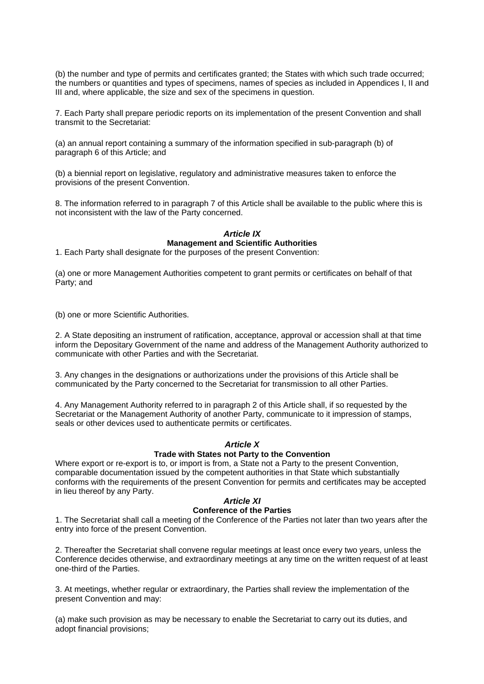(b) the number and type of permits and certificates granted; the States with which such trade occurred; the numbers or quantities and types of specimens, names of species as included in Appendices I, II and III and, where applicable, the size and sex of the specimens in question.

7. Each Party shall prepare periodic reports on its implementation of the present Convention and shall transmit to the Secretariat:

(a) an annual report containing a summary of the information specified in sub-paragraph (b) of paragraph 6 of this Article; and

(b) a biennial report on legislative, regulatory and administrative measures taken to enforce the provisions of the present Convention.

8. The information referred to in paragraph 7 of this Article shall be available to the public where this is not inconsistent with the law of the Party concerned.

## *Article IX* **Management and Scientific Authorities**

1. Each Party shall designate for the purposes of the present Convention:

(a) one or more Management Authorities competent to grant permits or certificates on behalf of that Party; and

(b) one or more Scientific Authorities.

2. A State depositing an instrument of ratification, acceptance, approval or accession shall at that time inform the Depositary Government of the name and address of the Management Authority authorized to communicate with other Parties and with the Secretariat.

3. Any changes in the designations or authorizations under the provisions of this Article shall be communicated by the Party concerned to the Secretariat for transmission to all other Parties.

4. Any Management Authority referred to in paragraph 2 of this Article shall, if so requested by the Secretariat or the Management Authority of another Party, communicate to it impression of stamps, seals or other devices used to authenticate permits or certificates.

#### *Article X*

#### **Trade with States not Party to the Convention**

Where export or re-export is to, or import is from, a State not a Party to the present Convention, comparable documentation issued by the competent authorities in that State which substantially conforms with the requirements of the present Convention for permits and certificates may be accepted in lieu thereof by any Party.

## *Article XI*

#### **Conference of the Parties**

1. The Secretariat shall call a meeting of the Conference of the Parties not later than two years after the entry into force of the present Convention.

2. Thereafter the Secretariat shall convene regular meetings at least once every two years, unless the Conference decides otherwise, and extraordinary meetings at any time on the written request of at least one-third of the Parties.

3. At meetings, whether regular or extraordinary, the Parties shall review the implementation of the present Convention and may:

(a) make such provision as may be necessary to enable the Secretariat to carry out its duties, and adopt financial provisions;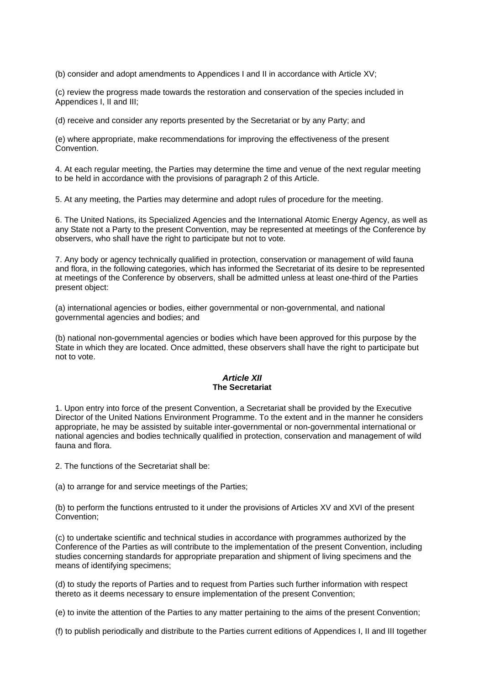(b) consider and adopt amendments to Appendices I and II in accordance with Article XV;

(c) review the progress made towards the restoration and conservation of the species included in Appendices I, II and III;

(d) receive and consider any reports presented by the Secretariat or by any Party; and

(e) where appropriate, make recommendations for improving the effectiveness of the present Convention.

4. At each regular meeting, the Parties may determine the time and venue of the next regular meeting to be held in accordance with the provisions of paragraph 2 of this Article.

5. At any meeting, the Parties may determine and adopt rules of procedure for the meeting.

6. The United Nations, its Specialized Agencies and the International Atomic Energy Agency, as well as any State not a Party to the present Convention, may be represented at meetings of the Conference by observers, who shall have the right to participate but not to vote.

7. Any body or agency technically qualified in protection, conservation or management of wild fauna and flora, in the following categories, which has informed the Secretariat of its desire to be represented at meetings of the Conference by observers, shall be admitted unless at least one-third of the Parties present object:

(a) international agencies or bodies, either governmental or non-governmental, and national governmental agencies and bodies; and

(b) national non-governmental agencies or bodies which have been approved for this purpose by the State in which they are located. Once admitted, these observers shall have the right to participate but not to vote.

## *Article XII* **The Secretariat**

1. Upon entry into force of the present Convention, a Secretariat shall be provided by the Executive Director of the United Nations Environment Programme. To the extent and in the manner he considers appropriate, he may be assisted by suitable inter-governmental or non-governmental international or national agencies and bodies technically qualified in protection, conservation and management of wild fauna and flora.

2. The functions of the Secretariat shall be:

(a) to arrange for and service meetings of the Parties;

(b) to perform the functions entrusted to it under the provisions of Articles XV and XVI of the present Convention;

(c) to undertake scientific and technical studies in accordance with programmes authorized by the Conference of the Parties as will contribute to the implementation of the present Convention, including studies concerning standards for appropriate preparation and shipment of living specimens and the means of identifying specimens;

(d) to study the reports of Parties and to request from Parties such further information with respect thereto as it deems necessary to ensure implementation of the present Convention;

(e) to invite the attention of the Parties to any matter pertaining to the aims of the present Convention;

(f) to publish periodically and distribute to the Parties current editions of Appendices I, II and III together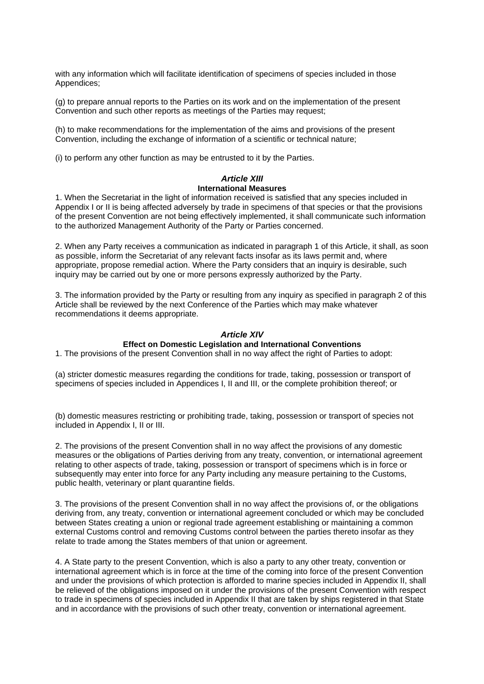with any information which will facilitate identification of specimens of species included in those Appendices;

(g) to prepare annual reports to the Parties on its work and on the implementation of the present Convention and such other reports as meetings of the Parties may request;

(h) to make recommendations for the implementation of the aims and provisions of the present Convention, including the exchange of information of a scientific or technical nature;

(i) to perform any other function as may be entrusted to it by the Parties.

## *Article XIII* **International Measures**

1. When the Secretariat in the light of information received is satisfied that any species included in Appendix I or II is being affected adversely by trade in specimens of that species or that the provisions of the present Convention are not being effectively implemented, it shall communicate such information to the authorized Management Authority of the Party or Parties concerned.

2. When any Party receives a communication as indicated in paragraph 1 of this Article, it shall, as soon as possible, inform the Secretariat of any relevant facts insofar as its laws permit and, where appropriate, propose remedial action. Where the Party considers that an inquiry is desirable, such inquiry may be carried out by one or more persons expressly authorized by the Party.

3. The information provided by the Party or resulting from any inquiry as specified in paragraph 2 of this Article shall be reviewed by the next Conference of the Parties which may make whatever recommendations it deems appropriate.

#### *Article XIV* **Effect on Domestic Legislation and International Conventions**

1. The provisions of the present Convention shall in no way affect the right of Parties to adopt:

(a) stricter domestic measures regarding the conditions for trade, taking, possession or transport of specimens of species included in Appendices I, II and III, or the complete prohibition thereof; or

(b) domestic measures restricting or prohibiting trade, taking, possession or transport of species not included in Appendix I, II or III.

2. The provisions of the present Convention shall in no way affect the provisions of any domestic measures or the obligations of Parties deriving from any treaty, convention, or international agreement relating to other aspects of trade, taking, possession or transport of specimens which is in force or subsequently may enter into force for any Party including any measure pertaining to the Customs, public health, veterinary or plant quarantine fields.

3. The provisions of the present Convention shall in no way affect the provisions of, or the obligations deriving from, any treaty, convention or international agreement concluded or which may be concluded between States creating a union or regional trade agreement establishing or maintaining a common external Customs control and removing Customs control between the parties thereto insofar as they relate to trade among the States members of that union or agreement.

4. A State party to the present Convention, which is also a party to any other treaty, convention or international agreement which is in force at the time of the coming into force of the present Convention and under the provisions of which protection is afforded to marine species included in Appendix II, shall be relieved of the obligations imposed on it under the provisions of the present Convention with respect to trade in specimens of species included in Appendix II that are taken by ships registered in that State and in accordance with the provisions of such other treaty, convention or international agreement.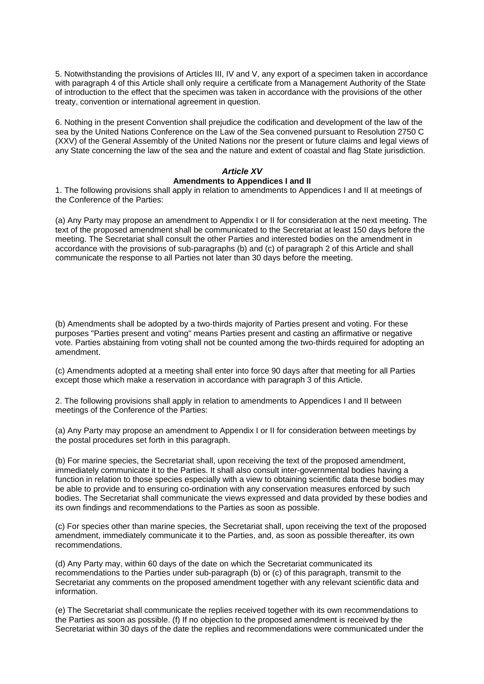5. Notwithstanding the provisions of Articles III, IV and V, any export of a specimen taken in accordance with paragraph 4 of this Article shall only require a certificate from a Management Authority of the State of introduction to the effect that the specimen was taken in accordance with the provisions of the other treaty, convention or international agreement in question.

6. Nothing in the present Convention shall prejudice the codification and development of the law of the sea by the United Nations Conference on the Law of the Sea convened pursuant to Resolution 2750 C (XXV) of the General Assembly of the United Nations nor the present or future claims and legal views of any State concerning the law of the sea and the nature and extent of coastal and flag State jurisdiction.

## *Article XV* **Amendments to Appendices I and II**

1. The following provisions shall apply in relation to amendments to Appendices I and II at meetings of the Conference of the Parties:

(a) Any Party may propose an amendment to Appendix I or II for consideration at the next meeting. The text of the proposed amendment shall be communicated to the Secretariat at least 150 days before the meeting. The Secretariat shall consult the other Parties and interested bodies on the amendment in accordance with the provisions of sub-paragraphs (b) and (c) of paragraph 2 of this Article and shall communicate the response to all Parties not later than 30 days before the meeting.

(b) Amendments shall be adopted by a two-thirds majority of Parties present and voting. For these purposes "Parties present and voting" means Parties present and casting an affirmative or negative vote. Parties abstaining from voting shall not be counted among the two-thirds required for adopting an amendment.

(c) Amendments adopted at a meeting shall enter into force 90 days after that meeting for all Parties except those which make a reservation in accordance with paragraph 3 of this Article.

2. The following provisions shall apply in relation to amendments to Appendices I and II between meetings of the Conference of the Parties:

(a) Any Party may propose an amendment to Appendix I or II for consideration between meetings by the postal procedures set forth in this paragraph.

(b) For marine species, the Secretariat shall, upon receiving the text of the proposed amendment, immediately communicate it to the Parties. It shall also consult inter-governmental bodies having a function in relation to those species especially with a view to obtaining scientific data these bodies may be able to provide and to ensuring co-ordination with any conservation measures enforced by such bodies. The Secretariat shall communicate the views expressed and data provided by these bodies and its own findings and recommendations to the Parties as soon as possible.

(c) For species other than marine species, the Secretariat shall, upon receiving the text of the proposed amendment, immediately communicate it to the Parties, and, as soon as possible thereafter, its own recommendations.

(d) Any Party may, within 60 days of the date on which the Secretariat communicated its recommendations to the Parties under sub-paragraph (b) or (c) of this paragraph, transmit to the Secretariat any comments on the proposed amendment together with any relevant scientific data and information.

(e) The Secretariat shall communicate the replies received together with its own recommendations to the Parties as soon as possible. (f) If no objection to the proposed amendment is received by the Secretariat within 30 days of the date the replies and recommendations were communicated under the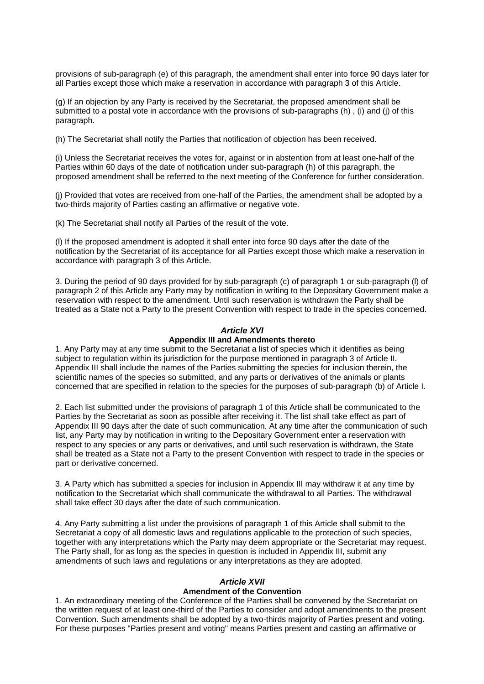provisions of sub-paragraph (e) of this paragraph, the amendment shall enter into force 90 days later for all Parties except those which make a reservation in accordance with paragraph 3 of this Article.

(g) If an objection by any Party is received by the Secretariat, the proposed amendment shall be submitted to a postal vote in accordance with the provisions of sub-paragraphs (h) , (i) and (j) of this paragraph.

(h) The Secretariat shall notify the Parties that notification of objection has been received.

(i) Unless the Secretariat receives the votes for, against or in abstention from at least one-half of the Parties within 60 days of the date of notification under sub-paragraph (h) of this paragraph, the proposed amendment shall be referred to the next meeting of the Conference for further consideration.

(j) Provided that votes are received from one-half of the Parties, the amendment shall be adopted by a two-thirds majority of Parties casting an affirmative or negative vote.

(k) The Secretariat shall notify all Parties of the result of the vote.

(l) If the proposed amendment is adopted it shall enter into force 90 days after the date of the notification by the Secretariat of its acceptance for all Parties except those which make a reservation in accordance with paragraph 3 of this Article.

3. During the period of 90 days provided for by sub-paragraph (c) of paragraph 1 or sub-paragraph (l) of paragraph 2 of this Article any Party may by notification in writing to the Depositary Government make a reservation with respect to the amendment. Until such reservation is withdrawn the Party shall be treated as a State not a Party to the present Convention with respect to trade in the species concerned.

#### *Article XVI*

#### **Appendix III and Amendments thereto**

1. Any Party may at any time submit to the Secretariat a list of species which it identifies as being subject to regulation within its jurisdiction for the purpose mentioned in paragraph 3 of Article II. Appendix III shall include the names of the Parties submitting the species for inclusion therein, the scientific names of the species so submitted, and any parts or derivatives of the animals or plants concerned that are specified in relation to the species for the purposes of sub-paragraph (b) of Article I.

2. Each list submitted under the provisions of paragraph 1 of this Article shall be communicated to the Parties by the Secretariat as soon as possible after receiving it. The list shall take effect as part of Appendix III 90 days after the date of such communication. At any time after the communication of such list, any Party may by notification in writing to the Depositary Government enter a reservation with respect to any species or any parts or derivatives, and until such reservation is withdrawn, the State shall be treated as a State not a Party to the present Convention with respect to trade in the species or part or derivative concerned.

3. A Party which has submitted a species for inclusion in Appendix III may withdraw it at any time by notification to the Secretariat which shall communicate the withdrawal to all Parties. The withdrawal shall take effect 30 days after the date of such communication.

4. Any Party submitting a list under the provisions of paragraph 1 of this Article shall submit to the Secretariat a copy of all domestic laws and regulations applicable to the protection of such species, together with any interpretations which the Party may deem appropriate or the Secretariat may request. The Party shall, for as long as the species in question is included in Appendix III, submit any amendments of such laws and regulations or any interpretations as they are adopted.

## *Article XVII*

## **Amendment of the Convention**

1. An extraordinary meeting of the Conference of the Parties shall be convened by the Secretariat on the written request of at least one-third of the Parties to consider and adopt amendments to the present Convention. Such amendments shall be adopted by a two-thirds majority of Parties present and voting. For these purposes "Parties present and voting" means Parties present and casting an affirmative or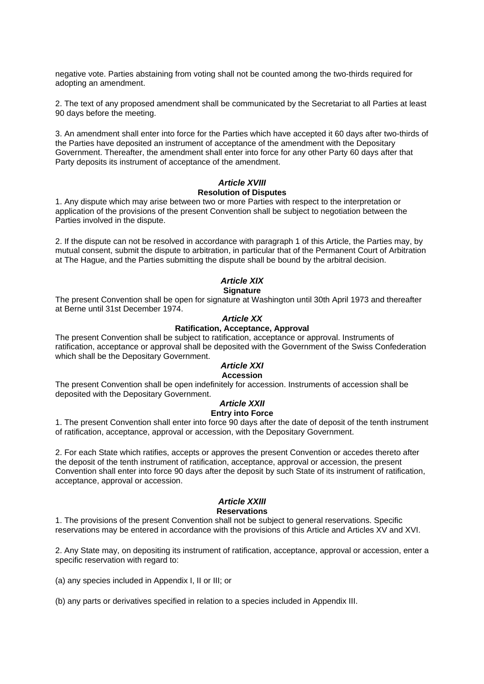negative vote. Parties abstaining from voting shall not be counted among the two-thirds required for adopting an amendment.

2. The text of any proposed amendment shall be communicated by the Secretariat to all Parties at least 90 days before the meeting.

3. An amendment shall enter into force for the Parties which have accepted it 60 days after two-thirds of the Parties have deposited an instrument of acceptance of the amendment with the Depositary Government. Thereafter, the amendment shall enter into force for any other Party 60 days after that Party deposits its instrument of acceptance of the amendment.

## *Article XVIII* **Resolution of Disputes**

1. Any dispute which may arise between two or more Parties with respect to the interpretation or application of the provisions of the present Convention shall be subject to negotiation between the Parties involved in the dispute.

2. If the dispute can not be resolved in accordance with paragraph 1 of this Article, the Parties may, by mutual consent, submit the dispute to arbitration, in particular that of the Permanent Court of Arbitration at The Hague, and the Parties submitting the dispute shall be bound by the arbitral decision.

## *Article XIX* **Signature**

The present Convention shall be open for signature at Washington until 30th April 1973 and thereafter at Berne until 31st December 1974.

## *Article XX*

## **Ratification, Acceptance, Approval**

The present Convention shall be subject to ratification, acceptance or approval. Instruments of ratification, acceptance or approval shall be deposited with the Government of the Swiss Confederation which shall be the Depositary Government.

# *Article XXI*

## **Accession**

The present Convention shall be open indefinitely for accession. Instruments of accession shall be deposited with the Depositary Government.

# *Article XXII*

## **Entry into Force**

1. The present Convention shall enter into force 90 days after the date of deposit of the tenth instrument of ratification, acceptance, approval or accession, with the Depositary Government.

2. For each State which ratifies, accepts or approves the present Convention or accedes thereto after the deposit of the tenth instrument of ratification, acceptance, approval or accession, the present Convention shall enter into force 90 days after the deposit by such State of its instrument of ratification, acceptance, approval or accession.

## *Article XXIII*

## **Reservations**

1. The provisions of the present Convention shall not be subject to general reservations. Specific reservations may be entered in accordance with the provisions of this Article and Articles XV and XVI.

2. Any State may, on depositing its instrument of ratification, acceptance, approval or accession, enter a specific reservation with regard to:

(a) any species included in Appendix I, II or III; or

(b) any parts or derivatives specified in relation to a species included in Appendix III.